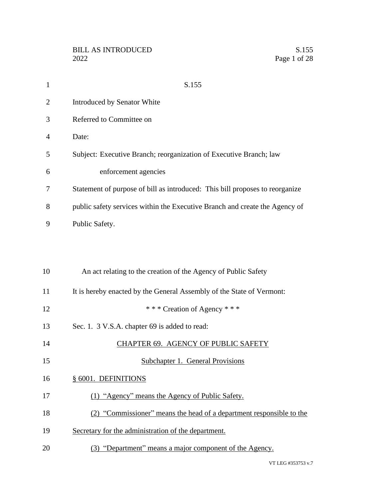| $\mathbf{1}$ | S.155                                                                        |
|--------------|------------------------------------------------------------------------------|
| 2            | Introduced by Senator White                                                  |
| 3            | Referred to Committee on                                                     |
| 4            | Date:                                                                        |
| 5            | Subject: Executive Branch; reorganization of Executive Branch; law           |
| 6            | enforcement agencies                                                         |
| 7            | Statement of purpose of bill as introduced: This bill proposes to reorganize |
| 8            | public safety services within the Executive Branch and create the Agency of  |
| 9            | Public Safety.                                                               |
|              |                                                                              |
| 10           | An act relating to the creation of the Agency of Public Safety               |
|              |                                                                              |
| 11           | It is hereby enacted by the General Assembly of the State of Vermont:        |
| 12           | *** Creation of Agency ***                                                   |
| 13           | Sec. 1. 3 V.S.A. chapter 69 is added to read:                                |
| 14           | <b>CHAPTER 69. AGENCY OF PUBLIC SAFETY</b>                                   |
| 15           | <b>Subchapter 1. General Provisions</b>                                      |
| 16           | § 6001. DEFINITIONS                                                          |
| 17           | (1) "Agency" means the Agency of Public Safety.                              |
| 18           | (2) "Commissioner" means the head of a department responsible to the         |
| 19           | Secretary for the administration of the department.                          |
| 20           | (3) "Department" means a major component of the Agency.                      |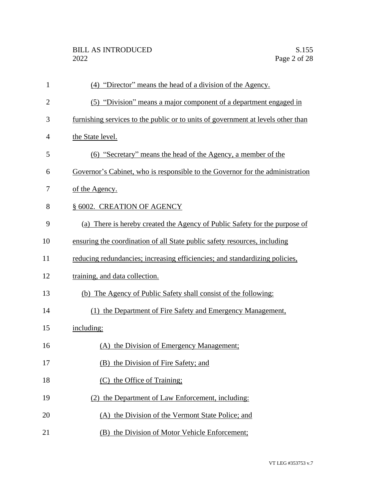| $\mathbf{1}$   | (4) "Director" means the head of a division of the Agency.                       |
|----------------|----------------------------------------------------------------------------------|
| $\overline{2}$ | (5) "Division" means a major component of a department engaged in                |
| 3              | furnishing services to the public or to units of government at levels other than |
| 4              | the State level.                                                                 |
| 5              | (6) "Secretary" means the head of the Agency, a member of the                    |
| 6              | Governor's Cabinet, who is responsible to the Governor for the administration    |
| 7              | of the Agency.                                                                   |
| 8              | § 6002. CREATION OF AGENCY                                                       |
| 9              | (a) There is hereby created the Agency of Public Safety for the purpose of       |
| 10             | ensuring the coordination of all State public safety resources, including        |
| 11             | reducing redundancies; increasing efficiencies; and standardizing policies,      |
| 12             | training, and data collection.                                                   |
| 13             | (b) The Agency of Public Safety shall consist of the following:                  |
| 14             | (1) the Department of Fire Safety and Emergency Management,                      |
| 15             | including:                                                                       |
| 16             | (A) the Division of Emergency Management;                                        |
| 17             | (B) the Division of Fire Safety; and                                             |
| 18             | (C) the Office of Training;                                                      |
| 19             | (2) the Department of Law Enforcement, including:                                |
| 20             | (A) the Division of the Vermont State Police; and                                |
| 21             | (B) the Division of Motor Vehicle Enforcement;                                   |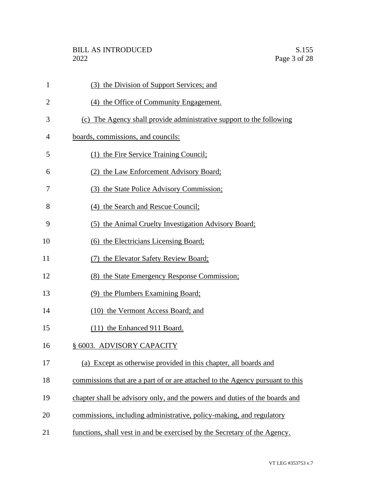| $\mathbf{1}$   | (3) the Division of Support Services; and                                     |
|----------------|-------------------------------------------------------------------------------|
| $\overline{2}$ | (4) the Office of Community Engagement.                                       |
| 3              | (c) The Agency shall provide administrative support to the following          |
| 4              | boards, commissions, and councils:                                            |
| 5              | (1) the Fire Service Training Council;                                        |
| 6              | (2) the Law Enforcement Advisory Board;                                       |
| 7              | (3) the State Police Advisory Commission;                                     |
| 8              | (4) the Search and Rescue Council;                                            |
| 9              | (5) the Animal Cruelty Investigation Advisory Board;                          |
| 10             | (6) the Electricians Licensing Board;                                         |
| 11             | (7) the Elevator Safety Review Board;                                         |
| 12             | (8) the State Emergency Response Commission;                                  |
| 13             | (9) the Plumbers Examining Board;                                             |
| 14             | (10) the Vermont Access Board; and                                            |
| 15             | (11) the Enhanced 911 Board.                                                  |
| 16             | § 6003. ADVISORY CAPACITY                                                     |
| 17             | (a) Except as otherwise provided in this chapter, all boards and              |
| 18             | commissions that are a part of or are attached to the Agency pursuant to this |
| 19             | chapter shall be advisory only, and the powers and duties of the boards and   |
| 20             | commissions, including administrative, policy-making, and regulatory          |
| 21             | functions, shall vest in and be exercised by the Secretary of the Agency.     |
|                |                                                                               |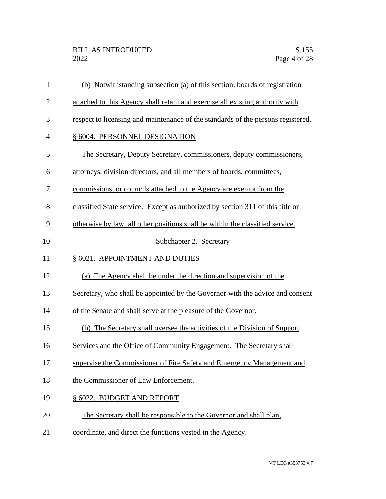| 1              | (b) Notwithstanding subsection (a) of this section, boards of registration       |
|----------------|----------------------------------------------------------------------------------|
| $\mathbf{2}$   | attached to this Agency shall retain and exercise all existing authority with    |
| 3              | respect to licensing and maintenance of the standards of the persons registered. |
| $\overline{4}$ | § 6004. PERSONNEL DESIGNATION                                                    |
| 5              | The Secretary, Deputy Secretary, commissioners, deputy commissioners,            |
| 6              | attorneys, division directors, and all members of boards, committees,            |
| 7              | commissions, or councils attached to the Agency are exempt from the              |
| 8              | classified State service. Except as authorized by section 311 of this title or   |
| 9              | otherwise by law, all other positions shall be within the classified service.    |
| 10             | Subchapter 2. Secretary                                                          |
| 11             | § 6021. APPOINTMENT AND DUTIES                                                   |
| 12             | (a) The Agency shall be under the direction and supervision of the               |
| 13             | Secretary, who shall be appointed by the Governor with the advice and consent    |
| 14             | of the Senate and shall serve at the pleasure of the Governor.                   |
| 15             | (b) The Secretary shall oversee the activities of the Division of Support        |
| 16             | Services and the Office of Community Engagement. The Secretary shall             |
| 17             | supervise the Commissioner of Fire Safety and Emergency Management and           |
| 18             | the Commissioner of Law Enforcement.                                             |
| 19             | § 6022. BUDGET AND REPORT                                                        |
| 20             | The Secretary shall be responsible to the Governor and shall plan,               |
| 21             | coordinate, and direct the functions vested in the Agency.                       |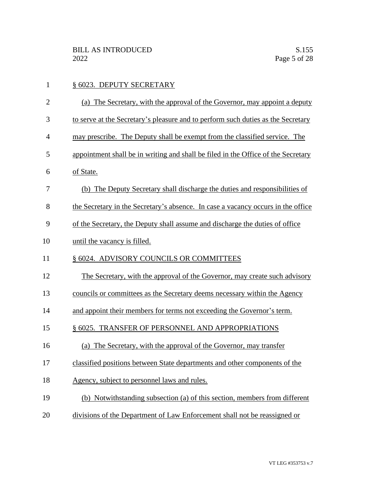| $\mathbf{1}$   | § 6023. DEPUTY SECRETARY                                                          |
|----------------|-----------------------------------------------------------------------------------|
| $\overline{2}$ | (a) The Secretary, with the approval of the Governor, may appoint a deputy        |
| 3              | to serve at the Secretary's pleasure and to perform such duties as the Secretary  |
| 4              | may prescribe. The Deputy shall be exempt from the classified service. The        |
| 5              | appointment shall be in writing and shall be filed in the Office of the Secretary |
| 6              | of State.                                                                         |
| 7              | (b) The Deputy Secretary shall discharge the duties and responsibilities of       |
| 8              | the Secretary in the Secretary's absence. In case a vacancy occurs in the office  |
| 9              | of the Secretary, the Deputy shall assume and discharge the duties of office      |
| 10             | until the vacancy is filled.                                                      |
| 11             | § 6024. ADVISORY COUNCILS OR COMMITTEES                                           |
| 12             | The Secretary, with the approval of the Governor, may create such advisory        |
| 13             | councils or committees as the Secretary deems necessary within the Agency         |
| 14             | and appoint their members for terms not exceeding the Governor's term.            |
| 15             | § 6025. TRANSFER OF PERSONNEL AND APPROPRIATIONS                                  |
| 16             | (a) The Secretary, with the approval of the Governor, may transfer                |
| 17             | classified positions between State departments and other components of the        |
| 18             | Agency, subject to personnel laws and rules.                                      |
| 19             | (b) Notwithstanding subsection (a) of this section, members from different        |
| 20             | divisions of the Department of Law Enforcement shall not be reassigned or         |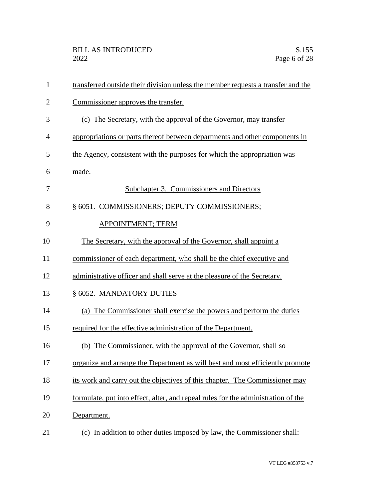| $\mathbf{1}$   | transferred outside their division unless the member requests a transfer and the  |
|----------------|-----------------------------------------------------------------------------------|
| $\overline{2}$ | Commissioner approves the transfer.                                               |
| 3              | (c) The Secretary, with the approval of the Governor, may transfer                |
| $\overline{4}$ | appropriations or parts thereof between departments and other components in       |
| 5              | the Agency, consistent with the purposes for which the appropriation was          |
| 6              | made.                                                                             |
| 7              | Subchapter 3. Commissioners and Directors                                         |
| 8              | § 6051. COMMISSIONERS; DEPUTY COMMISSIONERS;                                      |
| 9              | <b>APPOINTMENT; TERM</b>                                                          |
| 10             | The Secretary, with the approval of the Governor, shall appoint a                 |
| 11             | commissioner of each department, who shall be the chief executive and             |
| 12             | administrative officer and shall serve at the pleasure of the Secretary.          |
| 13             | § 6052. MANDATORY DUTIES                                                          |
| 14             | (a) The Commissioner shall exercise the powers and perform the duties             |
| 15             | required for the effective administration of the Department.                      |
| 16             | (b) The Commissioner, with the approval of the Governor, shall so                 |
| 17             | organize and arrange the Department as will best and most efficiently promote     |
| 18             | its work and carry out the objectives of this chapter. The Commissioner may       |
| 19             | formulate, put into effect, alter, and repeal rules for the administration of the |
| 20             | Department.                                                                       |
| 21             | (c) In addition to other duties imposed by law, the Commissioner shall:           |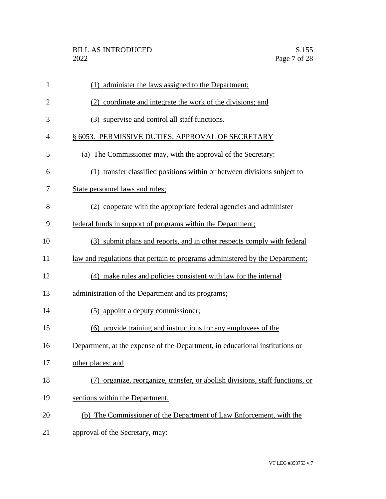| $\mathbf{1}$   | (1) administer the laws assigned to the Department;                                 |
|----------------|-------------------------------------------------------------------------------------|
| $\overline{2}$ | (2) coordinate and integrate the work of the divisions; and                         |
| 3              | (3) supervise and control all staff functions.                                      |
| 4              | § 6053. PERMISSIVE DUTIES; APPROVAL OF SECRETARY                                    |
| 5              | (a) The Commissioner may, with the approval of the Secretary:                       |
| 6              | (1) transfer classified positions within or between divisions subject to            |
| 7              | State personnel laws and rules;                                                     |
| 8              | (2) cooperate with the appropriate federal agencies and administer                  |
| 9              | federal funds in support of programs within the Department;                         |
| 10             | (3) submit plans and reports, and in other respects comply with federal             |
| 11             | <u>law and regulations that pertain to programs administered by the Department;</u> |
| 12             | (4) make rules and policies consistent with law for the internal                    |
| 13             | administration of the Department and its programs;                                  |
| 14             | (5) appoint a deputy commissioner;                                                  |
| 15             | (6) provide training and instructions for any employees of the                      |
| 16             | Department, at the expense of the Department, in educational institutions or        |
| 17             | other places; and                                                                   |
| 18             | (7) organize, reorganize, transfer, or abolish divisions, staff functions, or       |
| 19             | sections within the Department.                                                     |
| 20             | (b) The Commissioner of the Department of Law Enforcement, with the                 |
| 21             | approval of the Secretary, may:                                                     |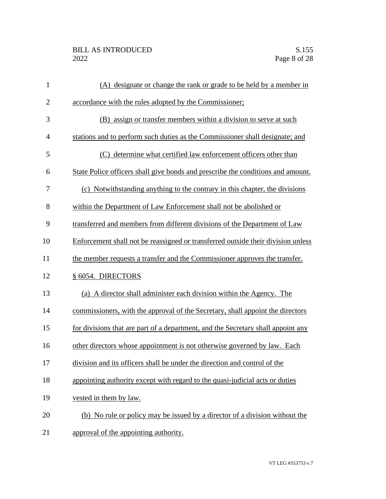## BILL AS INTRODUCED<br>2022 Page 8 of 28

| $\mathbf{1}$   | (A) designate or change the rank or grade to be held by a member in              |
|----------------|----------------------------------------------------------------------------------|
| $\overline{2}$ | accordance with the rules adopted by the Commissioner;                           |
| 3              | (B) assign or transfer members within a division to serve at such                |
| $\overline{4}$ | stations and to perform such duties as the Commissioner shall designate; and     |
| 5              | determine what certified law enforcement officers other than<br>(C)              |
| 6              | State Police officers shall give bonds and prescribe the conditions and amount.  |
| 7              | (c) Notwithstanding anything to the contrary in this chapter, the divisions      |
| 8              | within the Department of Law Enforcement shall not be abolished or               |
| 9              | transferred and members from different divisions of the Department of Law        |
| 10             | Enforcement shall not be reassigned or transferred outside their division unless |
| 11             | the member requests a transfer and the Commissioner approves the transfer.       |
| 12             | § 6054. DIRECTORS                                                                |
| 13             | (a) A director shall administer each division within the Agency. The             |
| 14             | commissioners, with the approval of the Secretary, shall appoint the directors   |
| 15             | for divisions that are part of a department, and the Secretary shall appoint any |
| 16             | other directors whose appointment is not otherwise governed by law. Each         |
| 17             | division and its officers shall be under the direction and control of the        |
| 18             | appointing authority except with regard to the quasi-judicial acts or duties     |
| 19             | vested in them by law.                                                           |
| 20             | (b) No rule or policy may be issued by a director of a division without the      |
| 21             | approval of the appointing authority.                                            |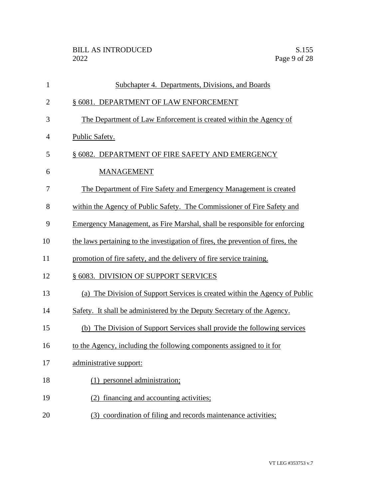| $\mathbf{1}$   | Subchapter 4. Departments, Divisions, and Boards                                |
|----------------|---------------------------------------------------------------------------------|
| $\overline{2}$ | § 6081. DEPARTMENT OF LAW ENFORCEMENT                                           |
| 3              | The Department of Law Enforcement is created within the Agency of               |
| $\overline{4}$ | Public Safety.                                                                  |
| 5              | § 6082. DEPARTMENT OF FIRE SAFETY AND EMERGENCY                                 |
| 6              | <b>MANAGEMENT</b>                                                               |
| 7              | The Department of Fire Safety and Emergency Management is created               |
| 8              | within the Agency of Public Safety. The Commissioner of Fire Safety and         |
| 9              | Emergency Management, as Fire Marshal, shall be responsible for enforcing       |
| 10             | the laws pertaining to the investigation of fires, the prevention of fires, the |
| 11             | promotion of fire safety, and the delivery of fire service training.            |
| 12             | § 6083. DIVISION OF SUPPORT SERVICES                                            |
| 13             | (a) The Division of Support Services is created within the Agency of Public     |
| 14             | Safety. It shall be administered by the Deputy Secretary of the Agency.         |
| 15             | (b) The Division of Support Services shall provide the following services       |
| 16             | to the Agency, including the following components assigned to it for            |
| 17             | administrative support:                                                         |
| 18             | (1) personnel administration;                                                   |
| 19             | financing and accounting activities;<br>(2)                                     |
| 20             | (3) coordination of filing and records maintenance activities;                  |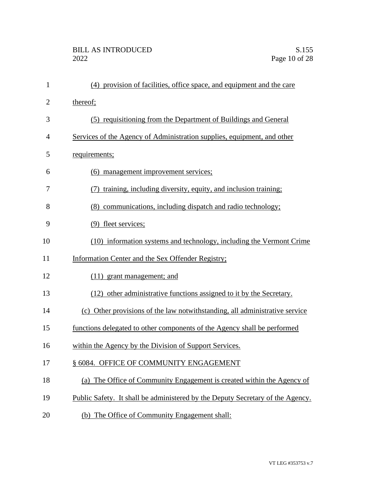| $\mathbf{1}$   | (4) provision of facilities, office space, and equipment and the care          |
|----------------|--------------------------------------------------------------------------------|
| $\overline{2}$ | thereof;                                                                       |
| 3              | (5) requisitioning from the Department of Buildings and General                |
| $\overline{4}$ | Services of the Agency of Administration supplies, equipment, and other        |
| 5              | requirements;                                                                  |
| 6              | (6) management improvement services;                                           |
| 7              | (7) training, including diversity, equity, and inclusion training;             |
| 8              | (8) communications, including dispatch and radio technology;                   |
| 9              | (9) fleet services;                                                            |
| 10             | (10) information systems and technology, including the Vermont Crime           |
| 11             | Information Center and the Sex Offender Registry;                              |
| 12             | (11) grant management; and                                                     |
| 13             | (12) other administrative functions assigned to it by the Secretary.           |
| 14             | (c) Other provisions of the law notwithstanding, all administrative service    |
| 15             | functions delegated to other components of the Agency shall be performed       |
| 16             | within the Agency by the Division of Support Services.                         |
| 17             | § 6084. OFFICE OF COMMUNITY ENGAGEMENT                                         |
| 18             | (a) The Office of Community Engagement is created within the Agency of         |
| 19             | Public Safety. It shall be administered by the Deputy Secretary of the Agency. |
| 20             | (b) The Office of Community Engagement shall:                                  |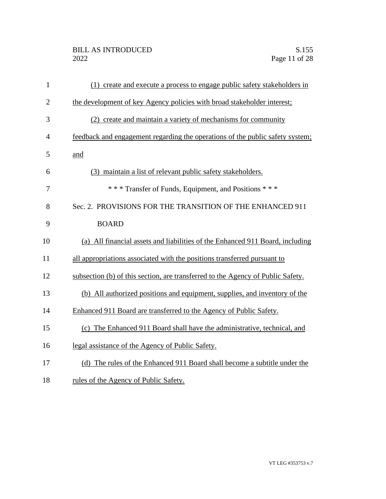| $\mathbf{1}$   | (1) create and execute a process to engage public safety stakeholders in        |
|----------------|---------------------------------------------------------------------------------|
| $\overline{2}$ | the development of key Agency policies with broad stakeholder interest;         |
| 3              | (2) create and maintain a variety of mechanisms for community                   |
| $\overline{4}$ | feedback and engagement regarding the operations of the public safety system;   |
| 5              | and                                                                             |
| 6              | (3) maintain a list of relevant public safety stakeholders.                     |
| 7              | *** Transfer of Funds, Equipment, and Positions ***                             |
| 8              | Sec. 2. PROVISIONS FOR THE TRANSITION OF THE ENHANCED 911                       |
| 9              | <b>BOARD</b>                                                                    |
| 10             | (a) All financial assets and liabilities of the Enhanced 911 Board, including   |
| 11             | all appropriations associated with the positions transferred pursuant to        |
| 12             | subsection (b) of this section, are transferred to the Agency of Public Safety. |
| 13             | (b) All authorized positions and equipment, supplies, and inventory of the      |
| 14             | Enhanced 911 Board are transferred to the Agency of Public Safety.              |
| 15             | (c) The Enhanced 911 Board shall have the administrative, technical, and        |
| 16             | legal assistance of the Agency of Public Safety.                                |
| 17             | (d) The rules of the Enhanced 911 Board shall become a subtitle under the       |
| 18             | rules of the Agency of Public Safety.                                           |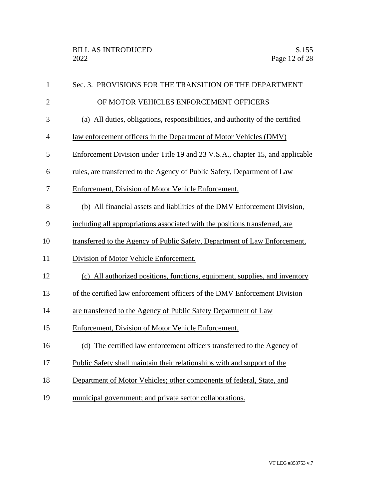| $\mathbf{1}$   | Sec. 3. PROVISIONS FOR THE TRANSITION OF THE DEPARTMENT                       |
|----------------|-------------------------------------------------------------------------------|
| $\overline{2}$ | OF MOTOR VEHICLES ENFORCEMENT OFFICERS                                        |
| 3              | (a) All duties, obligations, responsibilities, and authority of the certified |
| $\overline{4}$ | law enforcement officers in the Department of Motor Vehicles (DMV)            |
| 5              | Enforcement Division under Title 19 and 23 V.S.A., chapter 15, and applicable |
| 6              | rules, are transferred to the Agency of Public Safety, Department of Law      |
| 7              | Enforcement, Division of Motor Vehicle Enforcement.                           |
| 8              | (b) All financial assets and liabilities of the DMV Enforcement Division,     |
| 9              | including all appropriations associated with the positions transferred, are   |
| 10             | transferred to the Agency of Public Safety, Department of Law Enforcement,    |
| 11             | Division of Motor Vehicle Enforcement.                                        |
| 12             | (c) All authorized positions, functions, equipment, supplies, and inventory   |
| 13             | of the certified law enforcement officers of the DMV Enforcement Division     |
| 14             | are transferred to the Agency of Public Safety Department of Law              |
| 15             | Enforcement, Division of Motor Vehicle Enforcement.                           |
| 16             | (d) The certified law enforcement officers transferred to the Agency of       |
| 17             | Public Safety shall maintain their relationships with and support of the      |
| 18             | Department of Motor Vehicles; other components of federal, State, and         |
| 19             | municipal government; and private sector collaborations.                      |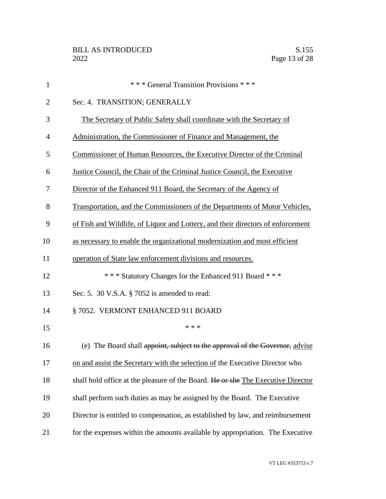| $\mathbf{1}$   | *** General Transition Provisions ***                                            |
|----------------|----------------------------------------------------------------------------------|
| $\overline{2}$ | Sec. 4. TRANSITION; GENERALLY                                                    |
| 3              | The Secretary of Public Safety shall coordinate with the Secretary of            |
| $\overline{4}$ | Administration, the Commissioner of Finance and Management, the                  |
| 5              | Commissioner of Human Resources, the Executive Director of the Criminal          |
| 6              | Justice Council, the Chair of the Criminal Justice Council, the Executive        |
| 7              | Director of the Enhanced 911 Board, the Secretary of the Agency of               |
| 8              | Transportation, and the Commissioners of the Departments of Motor Vehicles,      |
| 9              | of Fish and Wildlife, of Liquor and Lottery, and their directors of enforcement  |
| 10             | as necessary to enable the organizational modernization and most efficient       |
| 11             | operation of State law enforcement divisions and resources.                      |
| 12             | *** Statutory Changes for the Enhanced 911 Board ***                             |
| 13             | Sec. 5. 30 V.S.A. § 7052 is amended to read:                                     |
| 14             | § 7052. VERMONT ENHANCED 911 BOARD                                               |
| 15             | * * *                                                                            |
| 16             | (e) The Board shall appoint, subject to the approval of the Governor, advise     |
| 17             | on and assist the Secretary with the selection of the Executive Director who     |
| 18             | shall hold office at the pleasure of the Board. He or she The Executive Director |
| 19             | shall perform such duties as may be assigned by the Board. The Executive         |
| 20             | Director is entitled to compensation, as established by law, and reimbursement   |
| 21             | for the expenses within the amounts available by appropriation. The Executive    |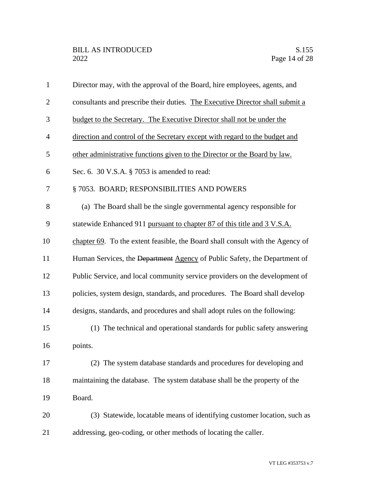| $\mathbf{1}$   | Director may, with the approval of the Board, hire employees, agents, and      |
|----------------|--------------------------------------------------------------------------------|
| $\overline{c}$ | consultants and prescribe their duties. The Executive Director shall submit a  |
| 3              | budget to the Secretary. The Executive Director shall not be under the         |
| $\overline{4}$ | direction and control of the Secretary except with regard to the budget and    |
| 5              | other administrative functions given to the Director or the Board by law.      |
| 6              | Sec. 6. 30 V.S.A. § 7053 is amended to read:                                   |
| 7              | § 7053. BOARD; RESPONSIBILITIES AND POWERS                                     |
| 8              | (a) The Board shall be the single governmental agency responsible for          |
| 9              | statewide Enhanced 911 pursuant to chapter 87 of this title and 3 V.S.A.       |
| 10             | chapter 69. To the extent feasible, the Board shall consult with the Agency of |
| 11             | Human Services, the Department Agency of Public Safety, the Department of      |
| 12             | Public Service, and local community service providers on the development of    |
| 13             | policies, system design, standards, and procedures. The Board shall develop    |
| 14             | designs, standards, and procedures and shall adopt rules on the following:     |
| 15             | (1) The technical and operational standards for public safety answering        |
| 16             | points.                                                                        |
| 17             | (2) The system database standards and procedures for developing and            |
| 18             | maintaining the database. The system database shall be the property of the     |
| 19             | Board.                                                                         |
| 20             | (3) Statewide, locatable means of identifying customer location, such as       |
| 21             | addressing, geo-coding, or other methods of locating the caller.               |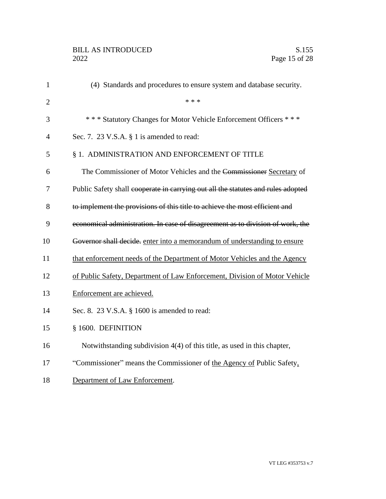| $\mathbf{1}$   | (4) Standards and procedures to ensure system and database security.             |
|----------------|----------------------------------------------------------------------------------|
| $\overline{2}$ | * * *                                                                            |
| 3              | *** Statutory Changes for Motor Vehicle Enforcement Officers ***                 |
| 4              | Sec. 7. 23 V.S.A. $\S$ 1 is amended to read:                                     |
| 5              | § 1. ADMINISTRATION AND ENFORCEMENT OF TITLE                                     |
| 6              | The Commissioner of Motor Vehicles and the Commissioner Secretary of             |
| 7              | Public Safety shall eooperate in carrying out all the statutes and rules adopted |
| 8              | to implement the provisions of this title to achieve the most efficient and      |
| 9              | economical administration. In case of disagreement as to division of work, the   |
| 10             | Governor shall decide. enter into a memorandum of understanding to ensure        |
| 11             | that enforcement needs of the Department of Motor Vehicles and the Agency        |
| 12             | of Public Safety, Department of Law Enforcement, Division of Motor Vehicle       |
| 13             | Enforcement are achieved.                                                        |
| 14             | Sec. 8. 23 V.S.A. § 1600 is amended to read:                                     |
| 15             | § 1600. DEFINITION                                                               |
| 16             | Notwithstanding subdivision $4(4)$ of this title, as used in this chapter,       |
| 17             | "Commissioner" means the Commissioner of the Agency of Public Safety,            |
| 18             | Department of Law Enforcement.                                                   |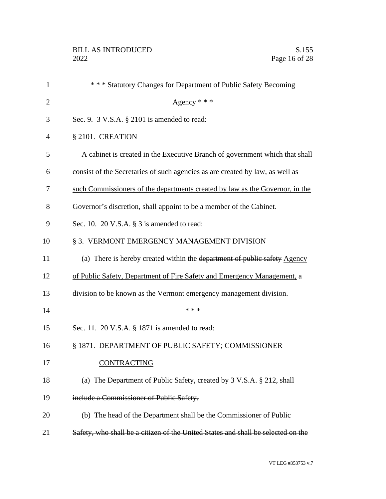| 1              | *** Statutory Changes for Department of Public Safety Becoming                   |
|----------------|----------------------------------------------------------------------------------|
| $\overline{2}$ | Agency $* * *$                                                                   |
| 3              | Sec. 9. 3 V.S.A. § 2101 is amended to read:                                      |
| 4              | § 2101. CREATION                                                                 |
| 5              | A cabinet is created in the Executive Branch of government which that shall      |
| 6              | consist of the Secretaries of such agencies as are created by law, as well as    |
| 7              | such Commissioners of the departments created by law as the Governor, in the     |
| 8              | Governor's discretion, shall appoint to be a member of the Cabinet.              |
| 9              | Sec. 10. 20 V.S.A. $\S$ 3 is amended to read:                                    |
| 10             | § 3. VERMONT EMERGENCY MANAGEMENT DIVISION                                       |
| 11             | (a) There is hereby created within the department of public safety Agency        |
| 12             | of Public Safety, Department of Fire Safety and Emergency Management, a          |
| 13             | division to be known as the Vermont emergency management division.               |
| 14             | * * *                                                                            |
| 15             | Sec. 11. 20 V.S.A. § 1871 is amended to read:                                    |
| 16             | § 1871. DEPARTMENT OF PUBLIC SAFETY; COMMISSIONER                                |
| 17             | <b>CONTRACTING</b>                                                               |
| 18             | (a) The Department of Public Safety, created by 3 V.S.A. § 212, shall            |
| 19             | include a Commissioner of Public Safety.                                         |
| 20             | (b) The head of the Department shall be the Commissioner of Public               |
| 21             | Safety, who shall be a citizen of the United States and shall be selected on the |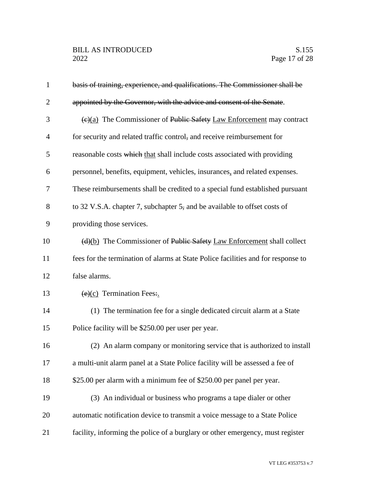| $\mathbf{1}$   | basis of training, experience, and qualifications. The Commissioner shall be              |
|----------------|-------------------------------------------------------------------------------------------|
| $\overline{2}$ | appointed by the Governor, with the advice and consent of the Senate.                     |
| 3              | $\left(\frac{e}{e}\right)$ The Commissioner of Public Safety Law Enforcement may contract |
| $\overline{4}$ | for security and related traffic control, and receive reimbursement for                   |
| 5              | reasonable costs which that shall include costs associated with providing                 |
| 6              | personnel, benefits, equipment, vehicles, insurances, and related expenses.               |
| 7              | These reimbursements shall be credited to a special fund established pursuant             |
| 8              | to 32 V.S.A. chapter 7, subchapter 5, and be available to offset costs of                 |
| 9              | providing those services.                                                                 |
| 10             | (d)(b) The Commissioner of Public Safety Law Enforcement shall collect                    |
| 11             | fees for the termination of alarms at State Police facilities and for response to         |
| 12             | false alarms.                                                                             |
| 13             | $(e)(c)$ Termination Fees:.                                                               |
| 14             | (1) The termination fee for a single dedicated circuit alarm at a State                   |
| 15             | Police facility will be \$250.00 per user per year.                                       |
| 16             | (2) An alarm company or monitoring service that is authorized to install                  |
| 17             | a multi-unit alarm panel at a State Police facility will be assessed a fee of             |
| 18             | \$25.00 per alarm with a minimum fee of \$250.00 per panel per year.                      |
| 19             | (3) An individual or business who programs a tape dialer or other                         |
| 20             | automatic notification device to transmit a voice message to a State Police               |
| 21             | facility, informing the police of a burglary or other emergency, must register            |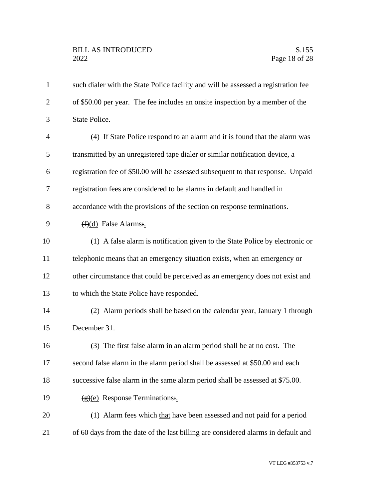| $\mathbf{1}$   | such dialer with the State Police facility and will be assessed a registration fee |
|----------------|------------------------------------------------------------------------------------|
| $\overline{2}$ | of \$50.00 per year. The fee includes an onsite inspection by a member of the      |
| 3              | State Police.                                                                      |
| $\overline{4}$ | (4) If State Police respond to an alarm and it is found that the alarm was         |
| 5              | transmitted by an unregistered tape dialer or similar notification device, a       |
| 6              | registration fee of \$50.00 will be assessed subsequent to that response. Unpaid   |
| 7              | registration fees are considered to be alarms in default and handled in            |
| 8              | accordance with the provisions of the section on response terminations.            |
| 9              | $(f)(d)$ False Alarms:                                                             |
| 10             | (1) A false alarm is notification given to the State Police by electronic or       |
| 11             | telephonic means that an emergency situation exists, when an emergency or          |
| 12             | other circumstance that could be perceived as an emergency does not exist and      |
| 13             | to which the State Police have responded.                                          |
| 14             | (2) Alarm periods shall be based on the calendar year, January 1 through           |
| 15             | December 31.                                                                       |
| 16             | (3) The first false alarm in an alarm period shall be at no cost. The              |
| 17             | second false alarm in the alarm period shall be assessed at \$50.00 and each       |
| 18             | successive false alarm in the same alarm period shall be assessed at \$75.00.      |
| 19             | $\frac{1}{2}$ Response Terminations:                                               |
| 20             | (1) Alarm fees which that have been assessed and not paid for a period             |
| 21             | of 60 days from the date of the last billing are considered alarms in default and  |
|                |                                                                                    |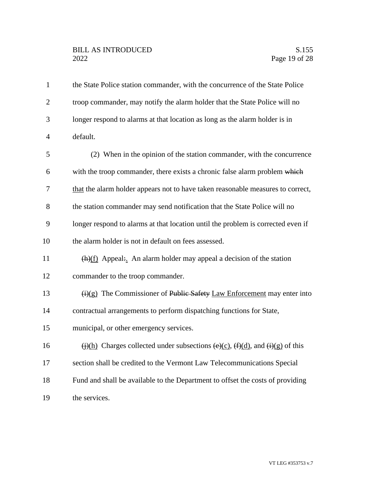## BILL AS INTRODUCED<br>2022 Page 19 of 28

| $\mathbf{1}$   | the State Police station commander, with the concurrence of the State Police                                                        |
|----------------|-------------------------------------------------------------------------------------------------------------------------------------|
| $\overline{2}$ | troop commander, may notify the alarm holder that the State Police will no                                                          |
| 3              | longer respond to alarms at that location as long as the alarm holder is in                                                         |
| $\overline{4}$ | default.                                                                                                                            |
| 5              | (2) When in the opinion of the station commander, with the concurrence                                                              |
| 6              | with the troop commander, there exists a chronic false alarm problem which                                                          |
| 7              | that the alarm holder appears not to have taken reasonable measures to correct,                                                     |
| 8              | the station commander may send notification that the State Police will no                                                           |
| 9              | longer respond to alarms at that location until the problem is corrected even if                                                    |
| 10             | the alarm holder is not in default on fees assessed.                                                                                |
| 11             | $\frac{h(t)}{h}$ Appeal: An alarm holder may appeal a decision of the station                                                       |
| 12             | commander to the troop commander.                                                                                                   |
| 13             | $\overline{(i)(g)}$ The Commissioner of Public Safety Law Enforcement may enter into                                                |
| 14             | contractual arrangements to perform dispatching functions for State,                                                                |
| 15             | municipal, or other emergency services.                                                                                             |
| 16             | $\overline{(i)(h)}$ Charges collected under subsections $\overline{(e)(c)}$ , $\overline{(f)(d)}$ , and $\overline{(i)(g)}$ of this |
| 17             | section shall be credited to the Vermont Law Telecommunications Special                                                             |
| 18             | Fund and shall be available to the Department to offset the costs of providing                                                      |
| 19             | the services.                                                                                                                       |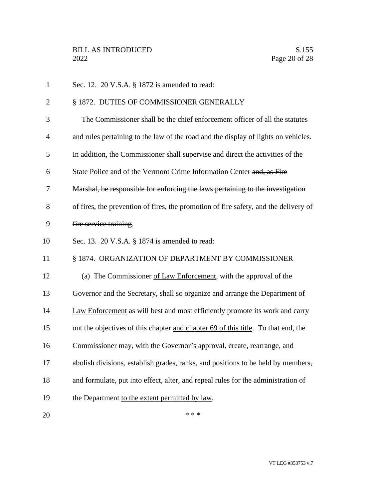| $\mathbf{1}$   | Sec. 12. 20 V.S.A. § 1872 is amended to read:                                        |
|----------------|--------------------------------------------------------------------------------------|
| $\overline{2}$ | § 1872. DUTIES OF COMMISSIONER GENERALLY                                             |
| 3              | The Commissioner shall be the chief enforcement officer of all the statutes          |
| $\overline{4}$ | and rules pertaining to the law of the road and the display of lights on vehicles.   |
| 5              | In addition, the Commissioner shall supervise and direct the activities of the       |
| 6              | State Police and of the Vermont Crime Information Center and, as Fire                |
| 7              | Marshal, be responsible for enforcing the laws pertaining to the investigation       |
| 8              | of fires, the prevention of fires, the promotion of fire safety, and the delivery of |
| 9              | fire service training.                                                               |
| 10             | Sec. 13. 20 V.S.A. § 1874 is amended to read:                                        |
| 11             | § 1874. ORGANIZATION OF DEPARTMENT BY COMMISSIONER                                   |
| 12             | (a) The Commissioner of Law Enforcement, with the approval of the                    |
| 13             | Governor and the Secretary, shall so organize and arrange the Department of          |
| 14             | Law Enforcement as will best and most efficiently promote its work and carry         |
| 15             | out the objectives of this chapter and chapter 69 of this title. To that end, the    |
| 16             | Commissioner may, with the Governor's approval, create, rearrange, and               |
| 17             | abolish divisions, establish grades, ranks, and positions to be held by members,     |
| 18             | and formulate, put into effect, alter, and repeal rules for the administration of    |
| 19             | the Department to the extent permitted by law.                                       |
| 20             | * * *                                                                                |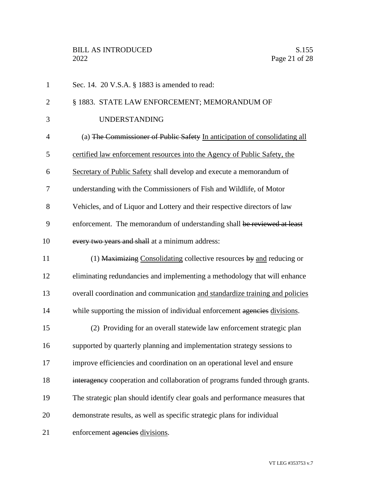| $\mathbf{1}$   | Sec. 14. 20 V.S.A. § 1883 is amended to read:                                |
|----------------|------------------------------------------------------------------------------|
| $\overline{2}$ | § 1883. STATE LAW ENFORCEMENT; MEMORANDUM OF                                 |
| 3              | <b>UNDERSTANDING</b>                                                         |
| $\overline{4}$ | (a) The Commissioner of Public Safety In anticipation of consolidating all   |
| 5              | certified law enforcement resources into the Agency of Public Safety, the    |
| 6              | Secretary of Public Safety shall develop and execute a memorandum of         |
| 7              | understanding with the Commissioners of Fish and Wildlife, of Motor          |
| 8              | Vehicles, and of Liquor and Lottery and their respective directors of law    |
| 9              | enforcement. The memorandum of understanding shall be reviewed at least      |
| 10             | every two years and shall at a minimum address:                              |
| 11             | (1) Maximizing Consolidating collective resources by and reducing or         |
| 12             | eliminating redundancies and implementing a methodology that will enhance    |
| 13             | overall coordination and communication and standardize training and policies |
| 14             | while supporting the mission of individual enforcement agencies divisions.   |
| 15             | (2) Providing for an overall statewide law enforcement strategic plan        |
| 16             | supported by quarterly planning and implementation strategy sessions to      |
| 17             | improve efficiencies and coordination on an operational level and ensure     |
| 18             | interagency cooperation and collaboration of programs funded through grants. |
| 19             | The strategic plan should identify clear goals and performance measures that |
| 20             | demonstrate results, as well as specific strategic plans for individual      |
| 21             | enforcement agencies divisions.                                              |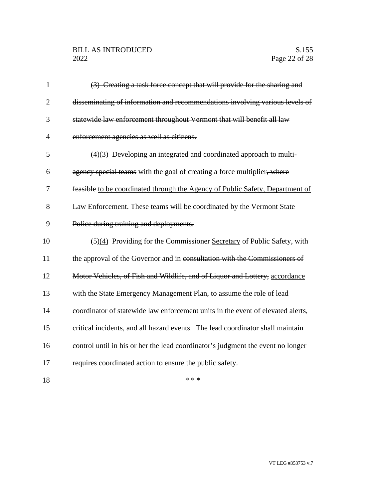## BILL AS INTRODUCED<br>2022 Page 22 of 28

| $\mathbf{1}$   | (3) Creating a task force concept that will provide for the sharing and         |
|----------------|---------------------------------------------------------------------------------|
| $\overline{2}$ | disseminating of information and recommendations involving various levels of    |
| 3              | statewide law enforcement throughout Vermont that will benefit all law          |
| $\overline{4}$ | enforcement agencies as well as citizens.                                       |
| 5              | $(4)(3)$ Developing an integrated and coordinated approach to multi-            |
| 6              | agency special teams with the goal of creating a force multiplier, where        |
| 7              | feasible to be coordinated through the Agency of Public Safety, Department of   |
| 8              | Law Enforcement. These teams will be coordinated by the Vermont State           |
| 9              | Police during training and deployments.                                         |
| 10             | (5)(4) Providing for the Commissioner Secretary of Public Safety, with          |
| 11             | the approval of the Governor and in consultation with the Commissioners of      |
| 12             | Motor Vehicles, of Fish and Wildlife, and of Liquor and Lottery, accordance     |
| 13             | with the State Emergency Management Plan, to assume the role of lead            |
| 14             | coordinator of statewide law enforcement units in the event of elevated alerts, |
| 15             | critical incidents, and all hazard events. The lead coordinator shall maintain  |
| 16             | control until in his or her the lead coordinator's judgment the event no longer |
| 17             | requires coordinated action to ensure the public safety.                        |
| 18             | * * *                                                                           |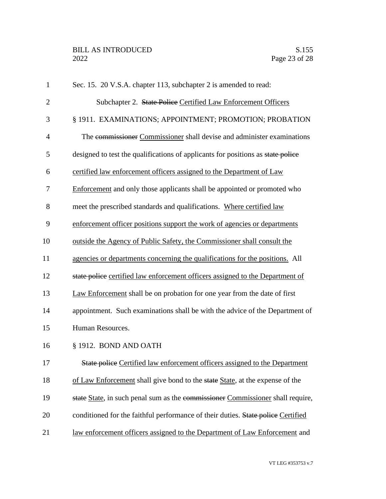| $\mathbf{1}$   | Sec. 15. 20 V.S.A. chapter 113, subchapter 2 is amended to read:                 |
|----------------|----------------------------------------------------------------------------------|
| $\overline{2}$ | Subchapter 2. State Police Certified Law Enforcement Officers                    |
| 3              | § 1911. EXAMINATIONS; APPOINTMENT; PROMOTION; PROBATION                          |
| $\overline{4}$ | The commissioner Commissioner shall devise and administer examinations           |
| 5              | designed to test the qualifications of applicants for positions as state police  |
| 6              | certified law enforcement officers assigned to the Department of Law             |
| 7              | Enforcement and only those applicants shall be appointed or promoted who         |
| 8              | meet the prescribed standards and qualifications. Where certified law            |
| 9              | enforcement officer positions support the work of agencies or departments        |
| 10             | outside the Agency of Public Safety, the Commissioner shall consult the          |
| 11             | agencies or departments concerning the qualifications for the positions. All     |
| 12             | state police certified law enforcement officers assigned to the Department of    |
| 13             | Law Enforcement shall be on probation for one year from the date of first        |
| 14             | appointment. Such examinations shall be with the advice of the Department of     |
| 15             | Human Resources.                                                                 |
| 16             | § 1912. BOND AND OATH                                                            |
| 17             | State police Certified law enforcement officers assigned to the Department       |
| 18             | of Law Enforcement shall give bond to the state State, at the expense of the     |
| 19             | state State, in such penal sum as the commissioner Commissioner shall require,   |
| 20             | conditioned for the faithful performance of their duties. State police Certified |
| 21             | law enforcement officers assigned to the Department of Law Enforcement and       |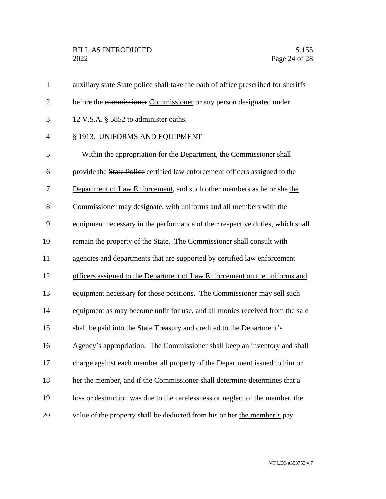| $\mathbf{1}$   | auxiliary state State police shall take the oath of office prescribed for sheriffs |
|----------------|------------------------------------------------------------------------------------|
| $\overline{2}$ | before the commissioner Commissioner or any person designated under                |
| 3              | 12 V.S.A. § 5852 to administer oaths.                                              |
| $\overline{4}$ | § 1913. UNIFORMS AND EQUIPMENT                                                     |
| 5              | Within the appropriation for the Department, the Commissioner shall                |
| 6              | provide the State Police certified law enforcement officers assigned to the        |
| 7              | Department of Law Enforcement, and such other members as he or she the             |
| 8              | Commissioner may designate, with uniforms and all members with the                 |
| 9              | equipment necessary in the performance of their respective duties, which shall     |
| 10             | remain the property of the State. The Commissioner shall consult with              |
| 11             | agencies and departments that are supported by certified law enforcement           |
| 12             | officers assigned to the Department of Law Enforcement on the uniforms and         |
| 13             | equipment necessary for those positions. The Commissioner may sell such            |
| 14             | equipment as may become unfit for use, and all monies received from the sale       |
| 15             | shall be paid into the State Treasury and credited to the Department's             |
| 16             | Agency's appropriation. The Commissioner shall keep an inventory and shall         |
| 17             | charge against each member all property of the Department issued to him or         |
| 18             | her the member, and if the Commissioner-shall determine determines that a          |
| 19             | loss or destruction was due to the carelessness or neglect of the member, the      |
| 20             | value of the property shall be deducted from his or her the member's pay.          |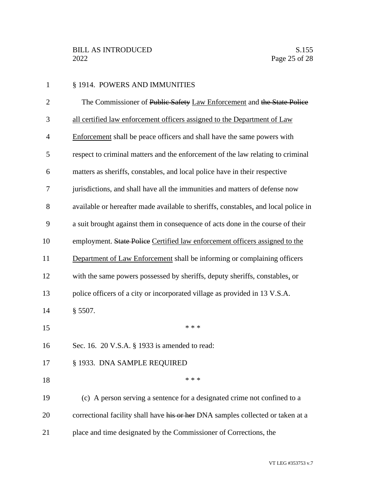| $\mathbf{1}$   | § 1914. POWERS AND IMMUNITIES                                                      |
|----------------|------------------------------------------------------------------------------------|
| $\overline{2}$ | The Commissioner of Public Safety Law Enforcement and the State Police             |
| 3              | all certified law enforcement officers assigned to the Department of Law           |
| $\overline{4}$ | Enforcement shall be peace officers and shall have the same powers with            |
| 5              | respect to criminal matters and the enforcement of the law relating to criminal    |
| 6              | matters as sheriffs, constables, and local police have in their respective         |
| 7              | jurisdictions, and shall have all the immunities and matters of defense now        |
| 8              | available or hereafter made available to sheriffs, constables, and local police in |
| 9              | a suit brought against them in consequence of acts done in the course of their     |
| 10             | employment. State Police Certified law enforcement officers assigned to the        |
| 11             | Department of Law Enforcement shall be informing or complaining officers           |
| 12             | with the same powers possessed by sheriffs, deputy sheriffs, constables, or        |
| 13             | police officers of a city or incorporated village as provided in 13 V.S.A.         |
| 14             | § 5507.                                                                            |
| 15             | * * *                                                                              |
| 16             | Sec. 16. 20 V.S.A. § 1933 is amended to read:                                      |
| 17             | § 1933. DNA SAMPLE REQUIRED                                                        |
| 18             | * * *                                                                              |
| 19             | (c) A person serving a sentence for a designated crime not confined to a           |
| 20             | correctional facility shall have his or her DNA samples collected or taken at a    |
| 21             | place and time designated by the Commissioner of Corrections, the                  |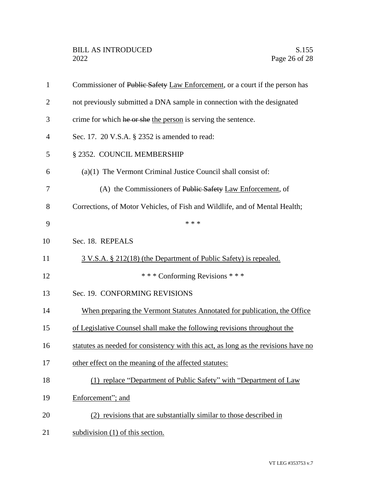| $\mathbf{1}$   | Commissioner of Public Safety Law Enforcement, or a court if the person has        |
|----------------|------------------------------------------------------------------------------------|
| $\overline{2}$ | not previously submitted a DNA sample in connection with the designated            |
| 3              | crime for which he or she the person is serving the sentence.                      |
| 4              | Sec. 17. 20 V.S.A. § 2352 is amended to read:                                      |
| 5              | § 2352. COUNCIL MEMBERSHIP                                                         |
| 6              | $(a)(1)$ The Vermont Criminal Justice Council shall consist of:                    |
| 7              | (A) the Commissioners of Public Safety Law Enforcement, of                         |
| 8              | Corrections, of Motor Vehicles, of Fish and Wildlife, and of Mental Health;        |
| 9              | * * *                                                                              |
| 10             | Sec. 18. REPEALS                                                                   |
| 11             | 3 V.S.A. § 212(18) (the Department of Public Safety) is repealed.                  |
| 12             | *** Conforming Revisions ***                                                       |
| 13             | Sec. 19. CONFORMING REVISIONS                                                      |
| 14             | When preparing the Vermont Statutes Annotated for publication, the Office          |
| 15             | of Legislative Counsel shall make the following revisions throughout the           |
| 16             | statutes as needed for consistency with this act, as long as the revisions have no |
| 17             | other effect on the meaning of the affected statutes:                              |
| 18             | (1) replace "Department of Public Safety" with "Department of Law                  |
| 19             | Enforcement"; and                                                                  |
| 20             | (2) revisions that are substantially similar to those described in                 |
| 21             | subdivision (1) of this section.                                                   |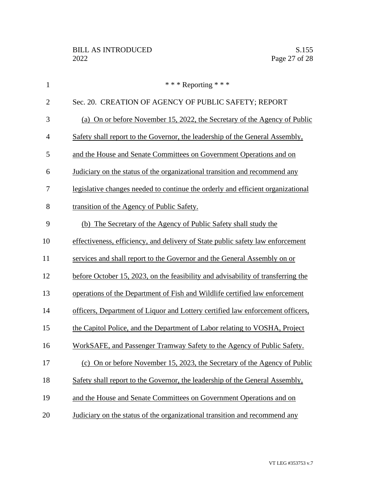| $\mathbf{1}$   | *** Reporting ***                                                                |
|----------------|----------------------------------------------------------------------------------|
| $\overline{2}$ | Sec. 20. CREATION OF AGENCY OF PUBLIC SAFETY; REPORT                             |
| 3              | (a) On or before November 15, 2022, the Secretary of the Agency of Public        |
| $\overline{4}$ | Safety shall report to the Governor, the leadership of the General Assembly,     |
| 5              | and the House and Senate Committees on Government Operations and on              |
| 6              | Judiciary on the status of the organizational transition and recommend any       |
| 7              | legislative changes needed to continue the orderly and efficient organizational  |
| 8              | transition of the Agency of Public Safety.                                       |
| 9              | (b) The Secretary of the Agency of Public Safety shall study the                 |
| 10             | effectiveness, efficiency, and delivery of State public safety law enforcement   |
| 11             | services and shall report to the Governor and the General Assembly on or         |
| 12             | before October 15, 2023, on the feasibility and advisability of transferring the |
| 13             | operations of the Department of Fish and Wildlife certified law enforcement      |
| 14             | officers, Department of Liquor and Lottery certified law enforcement officers,   |
| 15             | the Capitol Police, and the Department of Labor relating to VOSHA, Project       |
| 16             | WorkSAFE, and Passenger Tramway Safety to the Agency of Public Safety.           |
| 17             | (c) On or before November 15, 2023, the Secretary of the Agency of Public        |
| 18             | Safety shall report to the Governor, the leadership of the General Assembly,     |
| 19             | and the House and Senate Committees on Government Operations and on              |
| 20             | Judiciary on the status of the organizational transition and recommend any       |